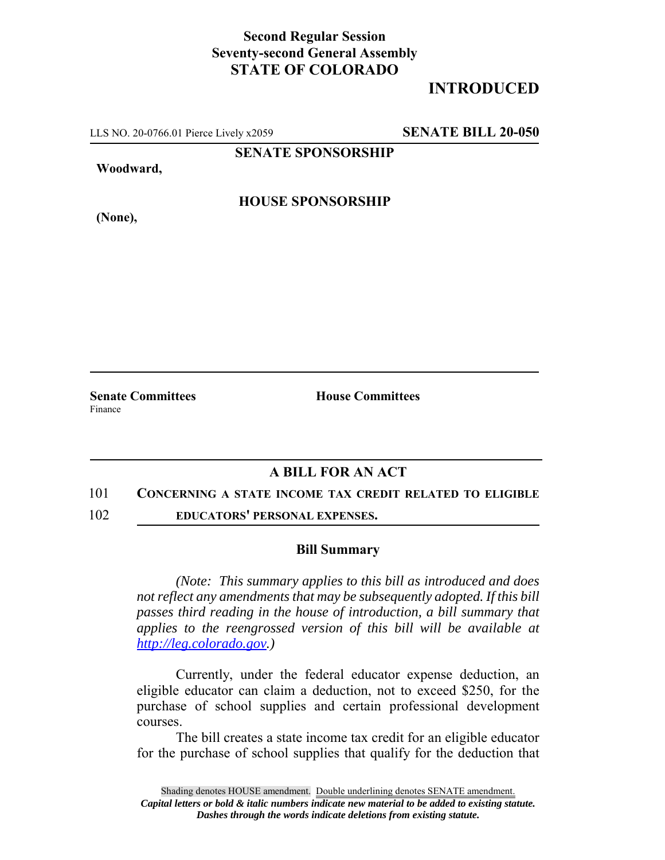## **Second Regular Session Seventy-second General Assembly STATE OF COLORADO**

# **INTRODUCED**

LLS NO. 20-0766.01 Pierce Lively x2059 **SENATE BILL 20-050**

**SENATE SPONSORSHIP**

**Woodward,**

**HOUSE SPONSORSHIP**

**(None),**

**Senate Committees House Committees** Finance

### **A BILL FOR AN ACT**

#### 101 **CONCERNING A STATE INCOME TAX CREDIT RELATED TO ELIGIBLE**

102 **EDUCATORS' PERSONAL EXPENSES.**

#### **Bill Summary**

*(Note: This summary applies to this bill as introduced and does not reflect any amendments that may be subsequently adopted. If this bill passes third reading in the house of introduction, a bill summary that applies to the reengrossed version of this bill will be available at http://leg.colorado.gov.)*

Currently, under the federal educator expense deduction, an eligible educator can claim a deduction, not to exceed \$250, for the purchase of school supplies and certain professional development courses.

The bill creates a state income tax credit for an eligible educator for the purchase of school supplies that qualify for the deduction that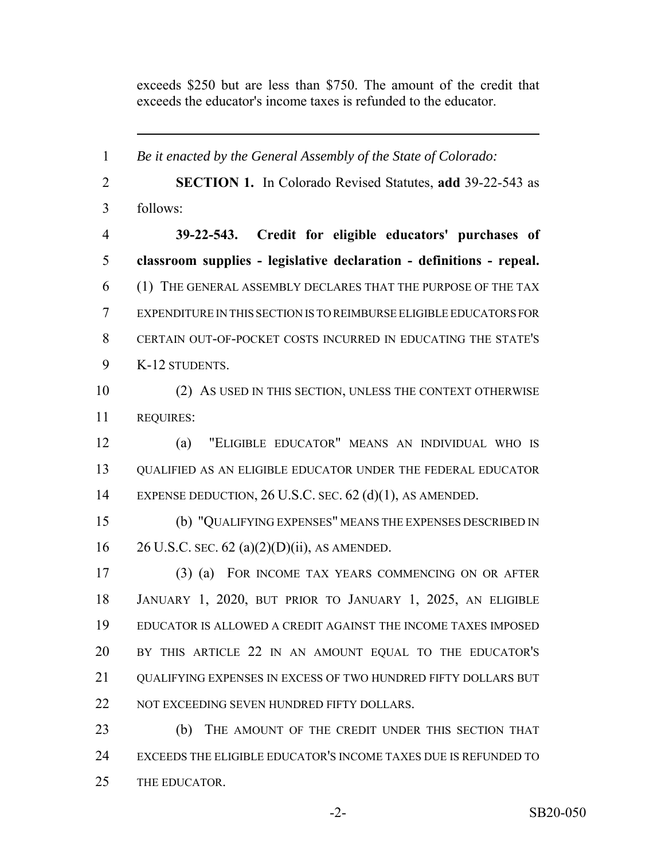exceeds \$250 but are less than \$750. The amount of the credit that exceeds the educator's income taxes is refunded to the educator.

 *Be it enacted by the General Assembly of the State of Colorado:* **SECTION 1.** In Colorado Revised Statutes, **add** 39-22-543 as follows: **39-22-543. Credit for eligible educators' purchases of classroom supplies - legislative declaration - definitions - repeal.** (1) THE GENERAL ASSEMBLY DECLARES THAT THE PURPOSE OF THE TAX EXPENDITURE IN THIS SECTION IS TO REIMBURSE ELIGIBLE EDUCATORS FOR CERTAIN OUT-OF-POCKET COSTS INCURRED IN EDUCATING THE STATE'S K-12 STUDENTS. (2) AS USED IN THIS SECTION, UNLESS THE CONTEXT OTHERWISE REQUIRES: (a) "ELIGIBLE EDUCATOR" MEANS AN INDIVIDUAL WHO IS QUALIFIED AS AN ELIGIBLE EDUCATOR UNDER THE FEDERAL EDUCATOR EXPENSE DEDUCTION, 26 U.S.C. SEC. 62 (d)(1), AS AMENDED. (b) "QUALIFYING EXPENSES" MEANS THE EXPENSES DESCRIBED IN 16 26 U.S.C. sec. 62 (a)(2)(D)(ii), AS AMENDED. (3) (a) FOR INCOME TAX YEARS COMMENCING ON OR AFTER JANUARY 1, 2020, BUT PRIOR TO JANUARY 1, 2025, AN ELIGIBLE EDUCATOR IS ALLOWED A CREDIT AGAINST THE INCOME TAXES IMPOSED BY THIS ARTICLE 22 IN AN AMOUNT EQUAL TO THE EDUCATOR'S QUALIFYING EXPENSES IN EXCESS OF TWO HUNDRED FIFTY DOLLARS BUT 22 NOT EXCEEDING SEVEN HUNDRED FIFTY DOLLARS. (b) THE AMOUNT OF THE CREDIT UNDER THIS SECTION THAT EXCEEDS THE ELIGIBLE EDUCATOR'S INCOME TAXES DUE IS REFUNDED TO

THE EDUCATOR.